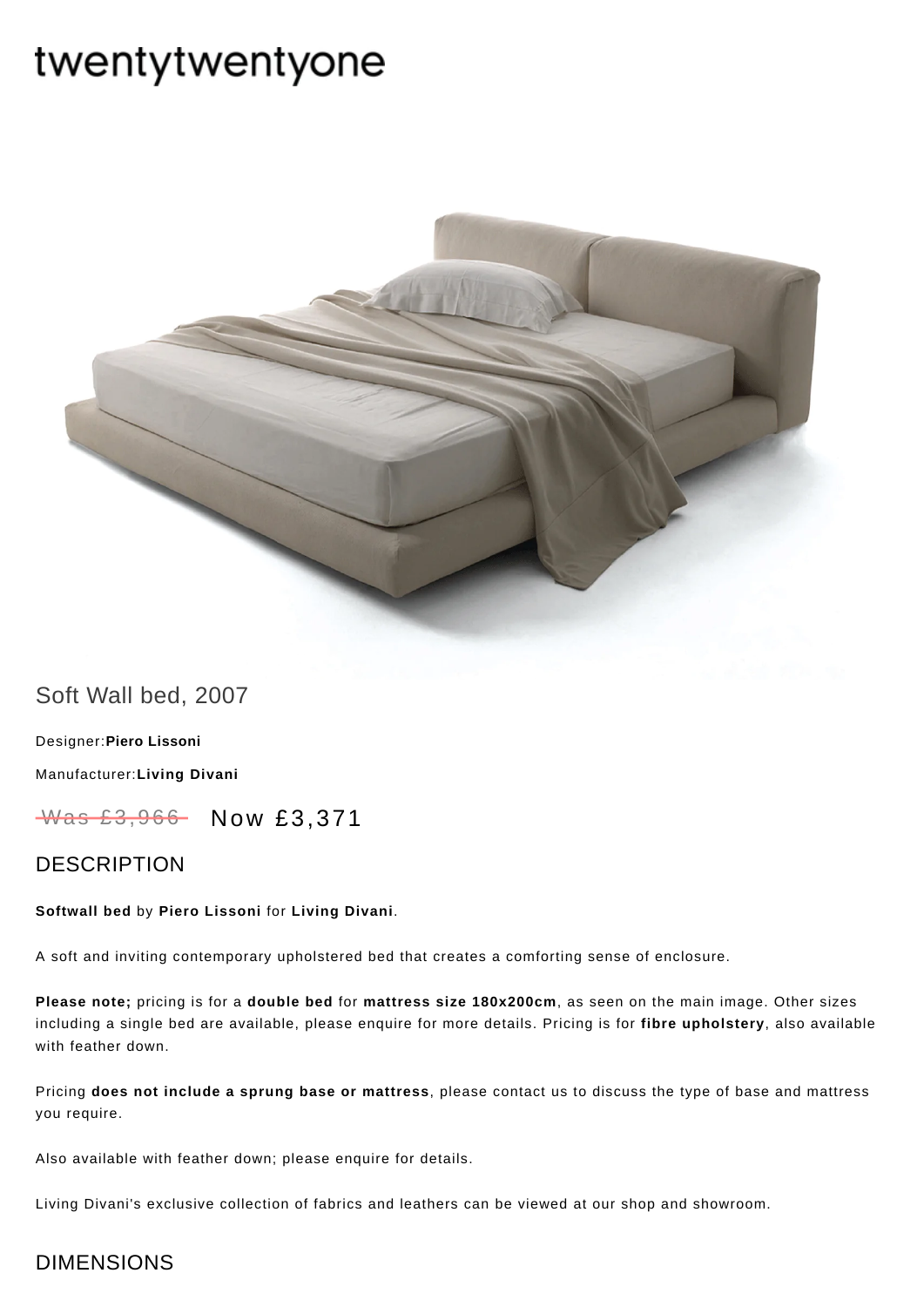# twentytwentyone



## Soft Wall bed, 2007

[Designer:](https://www.twentytwentyone.com/collections/designers-piero-lissoni)**Piero Lissoni** [Manufacturer:](https://www.twentytwentyone.com/collections/manufacturers-living-divani)**Living Divani**

Was £3,966 Now £3,371

## DESCRIPTION

#### **Softwall bed** by **Piero [Lissoni](http://twentytwentyone.com/designer/piero-lissoni)** for **Living [Divani](http://twentytwentyone.com/manufacturer/living-divani)**.

A soft and inviting contemporary upholstered bed that creates a comforting sense of enclosure.

**Please note;** pricing is for a **double bed** for **mattress size 180x200cm**, as seen on the main image. Other sizes including a single bed are available, please enquire for more details. Pricing is for **fibre upholstery**, also available with feather down.

Pricing **does not include a sprung base or mattress**, please contact us to discuss the type of base and mattress you require.

Also available with feather down; please enquire for details.

Living Divani's exclusive collection of fabrics and leathers can be viewed at our shop and showroom.

## DIMENSIONS